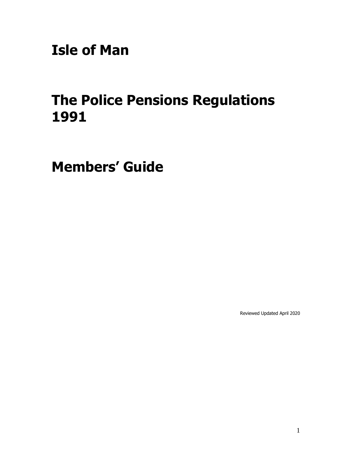**Isle of Man**

# **The Police Pensions Regulations 1991**

**Members' Guide** 

Reviewed Updated April 2020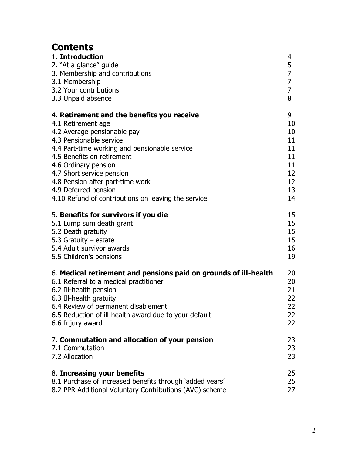## **Contents**

| 1. Introduction                                                  | 4              |
|------------------------------------------------------------------|----------------|
| 2. "At a glance" guide                                           | 5              |
| 3. Membership and contributions                                  | $\overline{7}$ |
| 3.1 Membership                                                   | $\overline{7}$ |
| 3.2 Your contributions                                           | $\overline{7}$ |
| 3.3 Unpaid absence                                               | 8              |
| 4. Retirement and the benefits you receive                       | 9              |
| 4.1 Retirement age                                               | 10             |
| 4.2 Average pensionable pay                                      | 10             |
| 4.3 Pensionable service                                          | 11             |
| 4.4 Part-time working and pensionable service                    | 11             |
| 4.5 Benefits on retirement                                       | 11             |
| 4.6 Ordinary pension                                             | 11             |
| 4.7 Short service pension                                        | 12             |
| 4.8 Pension after part-time work                                 | 12             |
| 4.9 Deferred pension                                             | 13             |
| 4.10 Refund of contributions on leaving the service              | 14             |
| 5. Benefits for survivors if you die                             | 15             |
| 5.1 Lump sum death grant                                         | 15             |
| 5.2 Death gratuity                                               | 15             |
| 5.3 Gratuity $-$ estate                                          | 15             |
| 5.4 Adult survivor awards                                        | 16             |
| 5.5 Children's pensions                                          | 19             |
| 6. Medical retirement and pensions paid on grounds of ill-health | 20             |
| 6.1 Referral to a medical practitioner                           | 20             |
| 6.2 Ill-health pension                                           | 21             |
| 6.3 Ill-health gratuity                                          | 22             |
| 6.4 Review of permanent disablement                              | 22             |
| 6.5 Reduction of ill-health award due to your default            | 22             |
| 6.6 Injury award                                                 | 22             |
| 7. Commutation and allocation of your pension                    | 23             |
| 7.1 Commutation                                                  | 23             |
| 7.2 Allocation                                                   | 23             |
| 8. Increasing your benefits                                      | 25             |
| 8.1 Purchase of increased benefits through 'added years'         | 25             |
| 8.2 PPR Additional Voluntary Contributions (AVC) scheme          | 27             |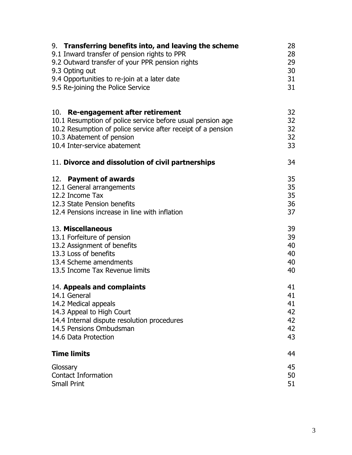| 9. Transferring benefits into, and leaving the scheme        | 28 |
|--------------------------------------------------------------|----|
| 9.1 Inward transfer of pension rights to PPR                 | 28 |
| 9.2 Outward transfer of your PPR pension rights              | 29 |
| 9.3 Opting out                                               | 30 |
| 9.4 Opportunities to re-join at a later date                 | 31 |
| 9.5 Re-joining the Police Service                            | 31 |
| 10. Re-engagement after retirement                           | 32 |
| 10.1 Resumption of police service before usual pension age   | 32 |
| 10.2 Resumption of police service after receipt of a pension | 32 |
| 10.3 Abatement of pension                                    | 32 |
| 10.4 Inter-service abatement                                 | 33 |
| 11. Divorce and dissolution of civil partnerships            | 34 |
| 12. Payment of awards                                        | 35 |
| 12.1 General arrangements                                    | 35 |
| 12.2 Income Tax                                              | 35 |
| 12.3 State Pension benefits                                  | 36 |
| 12.4 Pensions increase in line with inflation                | 37 |
| 13. Miscellaneous                                            | 39 |
| 13.1 Forfeiture of pension                                   | 39 |
| 13.2 Assignment of benefits                                  | 40 |
| 13.3 Loss of benefits                                        | 40 |
| 13.4 Scheme amendments                                       | 40 |
| 13.5 Income Tax Revenue limits                               | 40 |
| 14. Appeals and complaints                                   | 41 |
| 14.1 General                                                 | 41 |
| 14.2 Medical appeals                                         | 41 |
| 14.3 Appeal to High Court                                    | 42 |
| 14.4 Internal dispute resolution procedures                  | 42 |
| 14.5 Pensions Ombudsman                                      | 42 |
| 14.6 Data Protection                                         | 43 |
| <b>Time limits</b>                                           | 44 |
| Glossary                                                     | 45 |
| <b>Contact Information</b>                                   | 50 |
| <b>Small Print</b>                                           | 51 |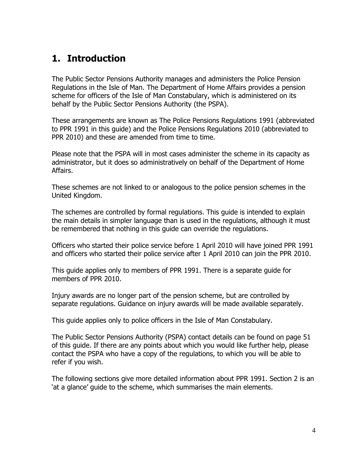## **1. Introduction**

The Public Sector Pensions Authority manages and administers the Police Pension Regulations in the Isle of Man. The Department of Home Affairs provides a pension scheme for officers of the Isle of Man Constabulary, which is administered on its behalf by the Public Sector Pensions Authority (the PSPA).

These arrangements are known as The Police Pensions Regulations 1991 (abbreviated to PPR 1991 in this guide) and the Police Pensions Regulations 2010 (abbreviated to PPR 2010) and these are amended from time to time.

Please note that the PSPA will in most cases administer the scheme in its capacity as administrator, but it does so administratively on behalf of the Department of Home Affairs.

These schemes are not linked to or analogous to the police pension schemes in the United Kingdom.

The schemes are controlled by formal regulations. This guide is intended to explain the main details in simpler language than is used in the regulations, although it must be remembered that nothing in this guide can override the regulations.

Officers who started their police service before 1 April 2010 will have joined PPR 1991 and officers who started their police service after 1 April 2010 can join the PPR 2010.

This guide applies only to members of PPR 1991. There is a separate guide for members of PPR 2010.

Injury awards are no longer part of the pension scheme, but are controlled by separate regulations. Guidance on injury awards will be made available separately.

This guide applies only to police officers in the Isle of Man Constabulary.

The Public Sector Pensions Authority (PSPA) contact details can be found on page 51 of this guide. If there are any points about which you would like further help, please contact the PSPA who have a copy of the regulations, to which you will be able to refer if you wish.

The following sections give more detailed information about PPR 1991. Section 2 is an 'at a glance' guide to the scheme, which summarises the main elements.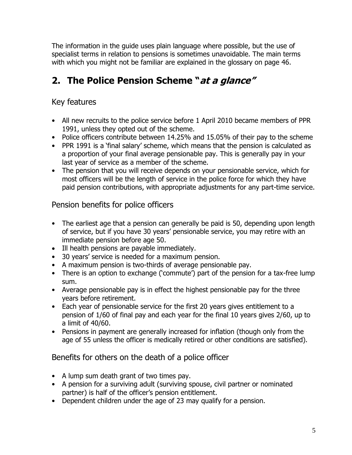The information in the guide uses plain language where possible, but the use of specialist terms in relation to pensions is sometimes unavoidable. The main terms with which you might not be familiar are explained in the glossary on page 46.

## **2. The Police Pension Scheme "at a glance"**

### Key features

- All new recruits to the police service before 1 April 2010 became members of PPR 1991, unless they opted out of the scheme.
- Police officers contribute between 14.25% and 15.05% of their pay to the scheme
- PPR 1991 is a 'final salary' scheme, which means that the pension is calculated as a proportion of your final average pensionable pay. This is generally pay in your last year of service as a member of the scheme.
- The pension that you will receive depends on your pensionable service, which for most officers will be the length of service in the police force for which they have paid pension contributions, with appropriate adjustments for any part-time service.

### Pension benefits for police officers

- The earliest age that a pension can generally be paid is 50, depending upon length of service, but if you have 30 years' pensionable service, you may retire with an immediate pension before age 50.
- Ill health pensions are payable immediately.
- 30 years' service is needed for a maximum pension.
- A maximum pension is two-thirds of average pensionable pay.
- There is an option to exchange ('commute') part of the pension for a tax-free lump sum.
- Average pensionable pay is in effect the highest pensionable pay for the three years before retirement.
- Each year of pensionable service for the first 20 years gives entitlement to a pension of 1/60 of final pay and each year for the final 10 years gives 2/60, up to a limit of 40/60.
- Pensions in payment are generally increased for inflation (though only from the age of 55 unless the officer is medically retired or other conditions are satisfied).

### Benefits for others on the death of a police officer

- A lump sum death grant of two times pay.
- A pension for a surviving adult (surviving spouse, civil partner or nominated partner) is half of the officer's pension entitlement.
- Dependent children under the age of 23 may qualify for a pension.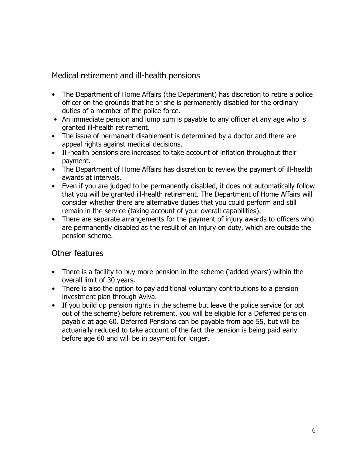#### Medical retirement and ill-health pensions

- The Department of Home Affairs (the Department) has discretion to retire a police officer on the grounds that he or she is permanently disabled for the ordinary duties of a member of the police force.
- An immediate pension and lump sum is payable to any officer at any age who is granted ill-health retirement.
- The issue of permanent disablement is determined by a doctor and there are appeal rights against medical decisions.
- Ill-health pensions are increased to take account of inflation throughout their payment.
- The Department of Home Affairs has discretion to review the payment of ill-health awards at intervals.
- Even if you are judged to be permanently disabled, it does not automatically follow that you will be granted ill-health retirement. The Department of Home Affairs will consider whether there are alternative duties that you could perform and still remain in the service (taking account of your overall capabilities).
- There are separate arrangements for the payment of injury awards to officers who are permanently disabled as the result of an injury on duty, which are outside the pension scheme.

#### Other features

- There is a facility to buy more pension in the scheme ('added years') within the overall limit of 30 years.
- There is also the option to pay additional voluntary contributions to a pension investment plan through Aviva.
- If you build up pension rights in the scheme but leave the police service (or opt out of the scheme) before retirement, you will be eligible for a Deferred pension payable at age 60. Deferred Pensions can be payable from age 55, but will be actuarially reduced to take account of the fact the pension is being paid early before age 60 and will be in payment for longer.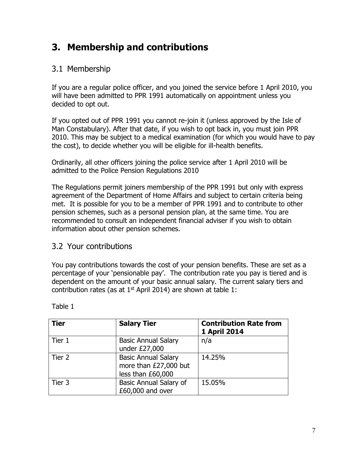## **3. Membership and contributions**

### 3.1 Membership

If you are a regular police officer, and you joined the service before 1 April 2010, you will have been admitted to PPR 1991 automatically on appointment unless you decided to opt out.

If you opted out of PPR 1991 you cannot re-join it (unless approved by the Isle of Man Constabulary). After that date, if you wish to opt back in, you must join PPR 2010. This may be subject to a medical examination (for which you would have to pay the cost), to decide whether you will be eligible for ill-health benefits.

Ordinarily, all other officers joining the police service after 1 April 2010 will be admitted to the Police Pension Regulations 2010

The Regulations permit joiners membership of the PPR 1991 but only with express agreement of the Department of Home Affairs and subject to certain criteria being met. It is possible for you to be a member of PPR 1991 and to contribute to other pension schemes, such as a personal pension plan, at the same time. You are recommended to consult an independent financial adviser if you wish to obtain information about other pension schemes.

### 3.2 Your contributions

You pay contributions towards the cost of your pension benefits. These are set as a percentage of your 'pensionable pay'. The contribution rate you pay is tiered and is dependent on the amount of your basic annual salary. The current salary tiers and contribution rates (as at  $1<sup>st</sup>$  April 2014) are shown at table 1:

| <b>Tier</b> | <b>Salary Tier</b>                                                       | <b>Contribution Rate from</b><br>1 April 2014 |
|-------------|--------------------------------------------------------------------------|-----------------------------------------------|
| Tier 1      | <b>Basic Annual Salary</b><br>under £27,000                              | n/a                                           |
| Tier 2      | <b>Basic Annual Salary</b><br>more than £27,000 but<br>less than £60,000 | 14.25%                                        |
| Tier 3      | Basic Annual Salary of<br>£60,000 and over                               | 15.05%                                        |

Table 1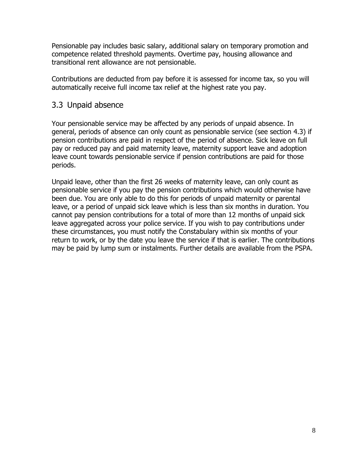Pensionable pay includes basic salary, additional salary on temporary promotion and competence related threshold payments. Overtime pay, housing allowance and transitional rent allowance are not pensionable.

Contributions are deducted from pay before it is assessed for income tax, so you will automatically receive full income tax relief at the highest rate you pay.

#### 3.3 Unpaid absence

Your pensionable service may be affected by any periods of unpaid absence. In general, periods of absence can only count as pensionable service (see section 4.3) if pension contributions are paid in respect of the period of absence. Sick leave on full pay or reduced pay and paid maternity leave, maternity support leave and adoption leave count towards pensionable service if pension contributions are paid for those periods.

Unpaid leave, other than the first 26 weeks of maternity leave, can only count as pensionable service if you pay the pension contributions which would otherwise have been due. You are only able to do this for periods of unpaid maternity or parental leave, or a period of unpaid sick leave which is less than six months in duration. You cannot pay pension contributions for a total of more than 12 months of unpaid sick leave aggregated across your police service. If you wish to pay contributions under these circumstances, you must notify the Constabulary within six months of your return to work, or by the date you leave the service if that is earlier. The contributions may be paid by lump sum or instalments. Further details are available from the PSPA.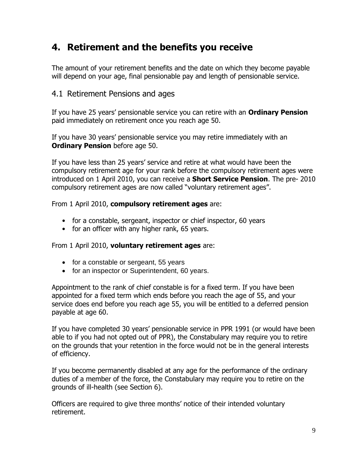## **4. Retirement and the benefits you receive**

The amount of your retirement benefits and the date on which they become payable will depend on your age, final pensionable pay and length of pensionable service.

#### 4.1 Retirement Pensions and ages

If you have 25 years' pensionable service you can retire with an **Ordinary Pension** paid immediately on retirement once you reach age 50.

If you have 30 years' pensionable service you may retire immediately with an **Ordinary Pension** before age 50.

If you have less than 25 years' service and retire at what would have been the compulsory retirement age for your rank before the compulsory retirement ages were introduced on 1 April 2010, you can receive a **Short Service Pension**. The pre- 2010 compulsory retirement ages are now called "voluntary retirement ages".

#### From 1 April 2010, **compulsory retirement ages** are:

- for a constable, sergeant, inspector or chief inspector, 60 years
- for an officer with any higher rank, 65 years.

#### From 1 April 2010, **voluntary retirement ages** are:

- for a constable or sergeant, 55 years
- for an inspector or Superintendent, 60 years.

Appointment to the rank of chief constable is for a fixed term. If you have been appointed for a fixed term which ends before you reach the age of 55, and your service does end before you reach age 55, you will be entitled to a deferred pension payable at age 60.

If you have completed 30 years' pensionable service in PPR 1991 (or would have been able to if you had not opted out of PPR), the Constabulary may require you to retire on the grounds that your retention in the force would not be in the general interests of efficiency.

If you become permanently disabled at any age for the performance of the ordinary duties of a member of the force, the Constabulary may require you to retire on the grounds of ill-health (see Section 6).

Officers are required to give three months' notice of their intended voluntary retirement.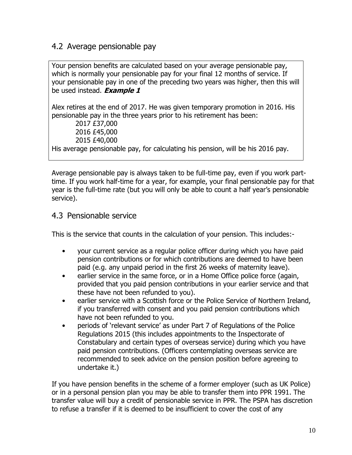### 4.2 Average pensionable pay

Your pension benefits are calculated based on your average pensionable pay, which is normally your pensionable pay for your final 12 months of service. If your pensionable pay in one of the preceding two years was higher, then this will be used instead. **Example 1** 

Alex retires at the end of 2017. He was given temporary promotion in 2016. His pensionable pay in the three years prior to his retirement has been:

2017 £37,000 2016 £45,000 2015 £40,000 His average pensionable pay, for calculating his pension, will be his 2016 pay.

Average pensionable pay is always taken to be full-time pay, even if you work parttime. If you work half-time for a year, for example, your final pensionable pay for that year is the full-time rate (but you will only be able to count a half year's pensionable service).

### 4.3 Pensionable service

This is the service that counts in the calculation of your pension. This includes:-

- your current service as a regular police officer during which you have paid pension contributions or for which contributions are deemed to have been paid (e.g. any unpaid period in the first 26 weeks of maternity leave).
- earlier service in the same force, or in a Home Office police force (again, provided that you paid pension contributions in your earlier service and that these have not been refunded to you).
- earlier service with a Scottish force or the Police Service of Northern Ireland, if you transferred with consent and you paid pension contributions which have not been refunded to you.
- periods of 'relevant service' as under Part 7 of Regulations of the Police Regulations 2015 (this includes appointments to the Inspectorate of Constabulary and certain types of overseas service) during which you have paid pension contributions. (Officers contemplating overseas service are recommended to seek advice on the pension position before agreeing to undertake it.)

If you have pension benefits in the scheme of a former employer (such as UK Police) or in a personal pension plan you may be able to transfer them into PPR 1991. The transfer value will buy a credit of pensionable service in PPR. The PSPA has discretion to refuse a transfer if it is deemed to be insufficient to cover the cost of any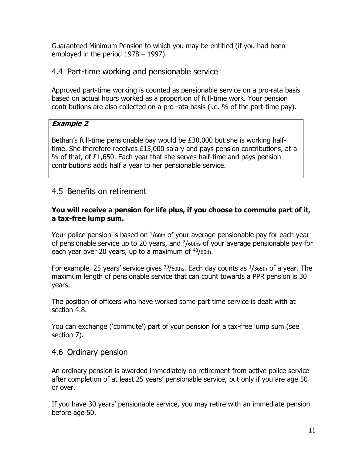Guaranteed Minimum Pension to which you may be entitled (if you had been employed in the period 1978 – 1997).

#### 4.4 Part-time working and pensionable service

Approved part-time working is counted as pensionable service on a pro-rata basis based on actual hours worked as a proportion of full-time work. Your pension contributions are also collected on a pro-rata basis (i.e. % of the part-time pay).

#### **Example 2**

Bethan's full-time pensionable pay would be £30,000 but she is working halftime. She therefore receives £15,000 salary and pays pension contributions, at a % of that, of £1,650. Each year that she serves half-time and pays pension contributions adds half a year to her pensionable service.

### 4.5 Benefits on retirement

#### **You will receive a pension for life plus, if you choose to commute part of it, a tax-free lump sum.**

Your police pension is based on  $\frac{1}{60}$ th of your average pensionable pay for each year of pensionable service up to 20 years, and  $\frac{2}{60}$ ths of your average pensionable pay for each year over 20 years, up to a maximum of  $40/60$ th.

For example, 25 years' service gives  $30/60$ ths. Each day counts as  $1/365$ th of a year. The maximum length of pensionable service that can count towards a PPR pension is 30 years.

The position of officers who have worked some part time service is dealt with at section 4.8.

You can exchange ('commute') part of your pension for a tax-free lump sum (see section 7).

#### 4.6 Ordinary pension

An ordinary pension is awarded immediately on retirement from active police service after completion of at least 25 years' pensionable service, but only if you are age 50 or over.

If you have 30 years' pensionable service, you may retire with an immediate pension before age 50.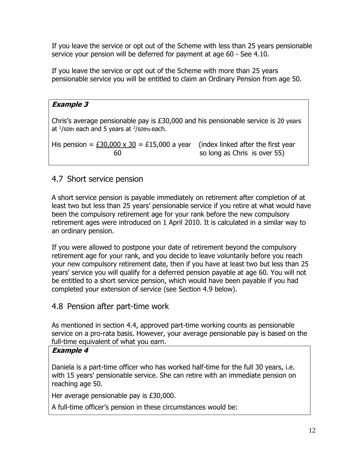If you leave the service or opt out of the Scheme with less than 25 years pensionable service your pension will be deferred for payment at age 60 - See 4.10.

If you leave the service or opt out of the Scheme with more than 25 years pensionable service you will be entitled to claim an Ordinary Pension from age 50.

| <b>Example 3</b>                                                                                                                                        |                                                                    |
|---------------------------------------------------------------------------------------------------------------------------------------------------------|--------------------------------------------------------------------|
| Chris's average pensionable pay is £30,000 and his pensionable service is 20 years<br>at $\frac{1}{60}$ th each and 5 years at $\frac{2}{60}$ ths each. |                                                                    |
| His pension = £30,000 x 30 = £15,000 a year<br>60                                                                                                       | (index linked after the first year<br>so long as Chris is over 55) |

### 4.7 Short service pension

A short service pension is payable immediately on retirement after completion of at least two but less than 25 years' pensionable service if you retire at what would have been the compulsory retirement age for your rank before the new compulsory retirement ages were introduced on 1 April 2010. It is calculated in a similar way to an ordinary pension.

If you were allowed to postpone your date of retirement beyond the compulsory retirement age for your rank, and you decide to leave voluntarily before you reach your new compulsory retirement date, then if you have at least two but less than 25 years' service you will qualify for a deferred pension payable at age 60. You will not be entitled to a short service pension, which would have been payable if you had completed your extension of service (see Section 4.9 below).

### 4.8 Pension after part-time work

As mentioned in section 4.4, approved part-time working counts as pensionable service on a pro-rata basis. However, your average pensionable pay is based on the full-time equivalent of what you earn.

#### **Example 4**

Daniela is a part-time officer who has worked half-time for the full 30 years, i.e. with 15 years' pensionable service. She can retire with an immediate pension on reaching age 50.

Her average pensionable pay is £30,000.

A full-time officer's pension in these circumstances would be: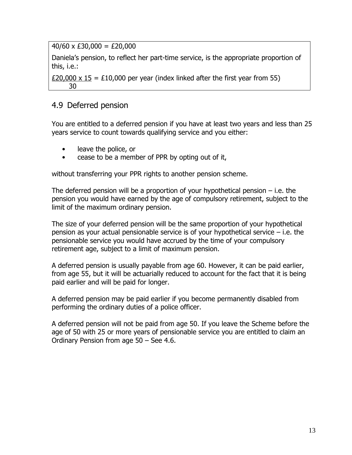$40/60 \times £30,000 = £20,000$ 

Daniela's pension, to reflect her part-time service, is the appropriate proportion of this, i.e.:

£20,000 x 15 = £10,000 per year (index linked after the first year from 55) 30

### 4.9 Deferred pension

You are entitled to a deferred pension if you have at least two years and less than 25 years service to count towards qualifying service and you either:

- leave the police, or
- cease to be a member of PPR by opting out of it,

without transferring your PPR rights to another pension scheme.

The deferred pension will be a proportion of your hypothetical pension  $-$  i.e. the pension you would have earned by the age of compulsory retirement, subject to the limit of the maximum ordinary pension.

The size of your deferred pension will be the same proportion of your hypothetical pension as your actual pensionable service is of your hypothetical service  $-$  i.e. the pensionable service you would have accrued by the time of your compulsory retirement age, subject to a limit of maximum pension.

A deferred pension is usually payable from age 60. However, it can be paid earlier, from age 55, but it will be actuarially reduced to account for the fact that it is being paid earlier and will be paid for longer.

A deferred pension may be paid earlier if you become permanently disabled from performing the ordinary duties of a police officer.

A deferred pension will not be paid from age 50. If you leave the Scheme before the age of 50 with 25 or more years of pensionable service you are entitled to claim an Ordinary Pension from age 50 – See 4.6.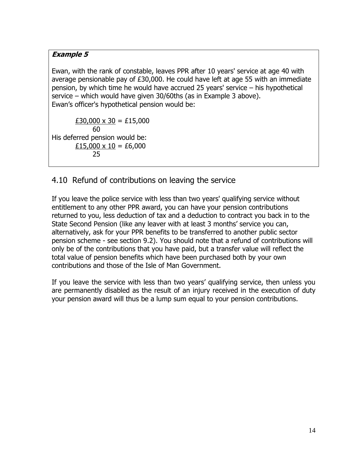#### **Example 5**

Ewan, with the rank of constable, leaves PPR after 10 years' service at age 40 with average pensionable pay of £30,000. He could have left at age 55 with an immediate pension, by which time he would have accrued 25 years' service – his hypothetical service – which would have given 30/60ths (as in Example 3 above). Ewan's officer's hypothetical pension would be:

 $£30,000 \times 30 = £15,000$  60 His deferred pension would be:  $£15,000 \times 10 = £6,000$ 25

### 4.10 Refund of contributions on leaving the service

If you leave the police service with less than two years' qualifying service without entitlement to any other PPR award, you can have your pension contributions returned to you, less deduction of tax and a deduction to contract you back in to the State Second Pension (like any leaver with at least 3 months' service you can, alternatively, ask for your PPR benefits to be transferred to another public sector pension scheme - see section 9.2). You should note that a refund of contributions will only be of the contributions that you have paid, but a transfer value will reflect the total value of pension benefits which have been purchased both by your own contributions and those of the Isle of Man Government.

If you leave the service with less than two years' qualifying service, then unless you are permanently disabled as the result of an injury received in the execution of duty your pension award will thus be a lump sum equal to your pension contributions.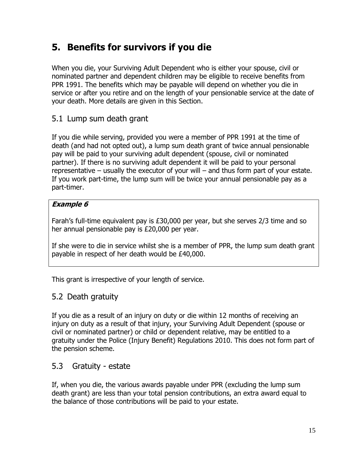## **5. Benefits for survivors if you die**

When you die, your Surviving Adult Dependent who is either your spouse, civil or nominated partner and dependent children may be eligible to receive benefits from PPR 1991. The benefits which may be payable will depend on whether you die in service or after you retire and on the length of your pensionable service at the date of your death. More details are given in this Section.

### 5.1 Lump sum death grant

If you die while serving, provided you were a member of PPR 1991 at the time of death (and had not opted out), a lump sum death grant of twice annual pensionable pay will be paid to your surviving adult dependent (spouse, civil or nominated partner). If there is no surviving adult dependent it will be paid to your personal representative – usually the executor of your will – and thus form part of your estate. If you work part-time, the lump sum will be twice your annual pensionable pay as a part-timer.

#### **Example 6**

Farah's full-time equivalent pay is £30,000 per year, but she serves 2/3 time and so her annual pensionable pay is £20,000 per year.

If she were to die in service whilst she is a member of PPR, the lump sum death grant payable in respect of her death would be £40,000.

This grant is irrespective of your length of service.

### 5.2 Death gratuity

If you die as a result of an injury on duty or die within 12 months of receiving an injury on duty as a result of that injury, your Surviving Adult Dependent (spouse or civil or nominated partner) or child or dependent relative, may be entitled to a gratuity under the Police (Injury Benefit) Regulations 2010. This does not form part of the pension scheme.

### 5.3 Gratuity - estate

If, when you die, the various awards payable under PPR (excluding the lump sum death grant) are less than your total pension contributions, an extra award equal to the balance of those contributions will be paid to your estate.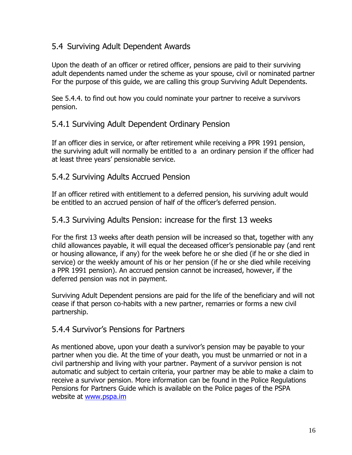### 5.4 Surviving Adult Dependent Awards

Upon the death of an officer or retired officer, pensions are paid to their surviving adult dependents named under the scheme as your spouse, civil or nominated partner For the purpose of this guide, we are calling this group Surviving Adult Dependents.

See 5.4.4. to find out how you could nominate your partner to receive a survivors pension.

#### 5.4.1 Surviving Adult Dependent Ordinary Pension

If an officer dies in service, or after retirement while receiving a PPR 1991 pension, the surviving adult will normally be entitled to a an ordinary pension if the officer had at least three years' pensionable service.

#### 5.4.2 Surviving Adults Accrued Pension

If an officer retired with entitlement to a deferred pension, his surviving adult would be entitled to an accrued pension of half of the officer's deferred pension.

#### 5.4.3 Surviving Adults Pension: increase for the first 13 weeks

For the first 13 weeks after death pension will be increased so that, together with any child allowances payable, it will equal the deceased officer's pensionable pay (and rent or housing allowance, if any) for the week before he or she died (if he or she died in service) or the weekly amount of his or her pension (if he or she died while receiving a PPR 1991 pension). An accrued pension cannot be increased, however, if the deferred pension was not in payment.

Surviving Adult Dependent pensions are paid for the life of the beneficiary and will not cease if that person co-habits with a new partner, remarries or forms a new civil partnership.

#### 5.4.4 Survivor's Pensions for Partners

As mentioned above, upon your death a survivor's pension may be payable to your partner when you die. At the time of your death, you must be unmarried or not in a civil partnership and living with your partner. Payment of a survivor pension is not automatic and subject to certain criteria, your partner may be able to make a claim to receive a survivor pension. More information can be found in the Police Regulations Pensions for Partners Guide which is available on the Police pages of the PSPA website at [www.pspa.im](http://www.pspa.im/)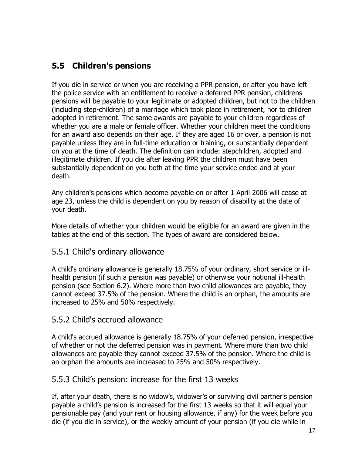### **5.5 Children's pensions**

If you die in service or when you are receiving a PPR pension, or after you have left the police service with an entitlement to receive a deferred PPR pension, childrens pensions will be payable to your legitimate or adopted children, but not to the children (including step-children) of a marriage which took place in retirement, nor to children adopted in retirement. The same awards are payable to your children regardless of whether you are a male or female officer. Whether your children meet the conditions for an award also depends on their age. If they are aged 16 or over, a pension is not payable unless they are in full-time education or training, or substantially dependent on you at the time of death. The definition can include: stepchildren, adopted and illegitimate children. If you die after leaving PPR the children must have been substantially dependent on you both at the time your service ended and at your death.

Any children's pensions which become payable on or after 1 April 2006 will cease at age 23, unless the child is dependent on you by reason of disability at the date of your death.

More details of whether your children would be eligible for an award are given in the tables at the end of this section. The types of award are considered below.

#### 5.5.1 Child's ordinary allowance

A child's ordinary allowance is generally 18.75% of your ordinary, short service or illhealth pension (if such a pension was payable) or otherwise your notional ill-health pension (see Section 6.2). Where more than two child allowances are payable, they cannot exceed 37.5% of the pension. Where the child is an orphan, the amounts are increased to 25% and 50% respectively.

#### 5.5.2 Child's accrued allowance

A child's accrued allowance is generally 18.75% of your deferred pension, irrespective of whether or not the deferred pension was in payment. Where more than two child allowances are payable they cannot exceed 37.5% of the pension. Where the child is an orphan the amounts are increased to 25% and 50% respectively.

#### 5.5.3 Child's pension: increase for the first 13 weeks

If, after your death, there is no widow's, widower's or surviving civil partner's pension payable a child's pension is increased for the first 13 weeks so that it will equal your pensionable pay (and your rent or housing allowance, if any) for the week before you die (if you die in service), or the weekly amount of your pension (if you die while in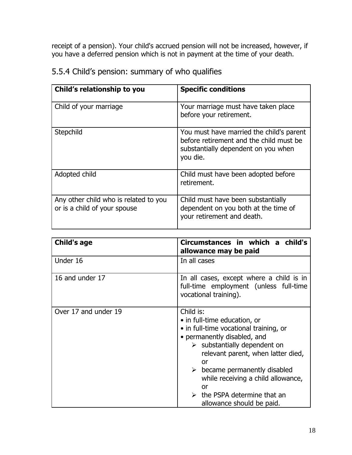receipt of a pension). Your child's accrued pension will not be increased, however, if you have a deferred pension which is not in payment at the time of your death.

| Child's relationship to you                                           | <b>Specific conditions</b>                                                                                                             |
|-----------------------------------------------------------------------|----------------------------------------------------------------------------------------------------------------------------------------|
| Child of your marriage                                                | Your marriage must have taken place<br>before your retirement.                                                                         |
| Stepchild                                                             | You must have married the child's parent<br>before retirement and the child must be<br>substantially dependent on you when<br>you die. |
| Adopted child                                                         | Child must have been adopted before<br>retirement.                                                                                     |
| Any other child who is related to you<br>or is a child of your spouse | Child must have been substantially<br>dependent on you both at the time of<br>your retirement and death.                               |

5.5.4 Child's pension: summary of who qualifies

| <b>Child's age</b>   | Circumstances in which a child's<br>allowance may be paid                                                                                                                                                                                                                                                                                                                             |
|----------------------|---------------------------------------------------------------------------------------------------------------------------------------------------------------------------------------------------------------------------------------------------------------------------------------------------------------------------------------------------------------------------------------|
| Under 16             | In all cases                                                                                                                                                                                                                                                                                                                                                                          |
| 16 and under 17      | In all cases, except where a child is in<br>full-time employment (unless full-time<br>vocational training).                                                                                                                                                                                                                                                                           |
| Over 17 and under 19 | Child is:<br>• in full-time education, or<br>• in full-time vocational training, or<br>• permanently disabled, and<br>$\triangleright$ substantially dependent on<br>relevant parent, when latter died,<br>or<br>$\triangleright$ became permanently disabled<br>while receiving a child allowance,<br>or<br>$\triangleright$ the PSPA determine that an<br>allowance should be paid. |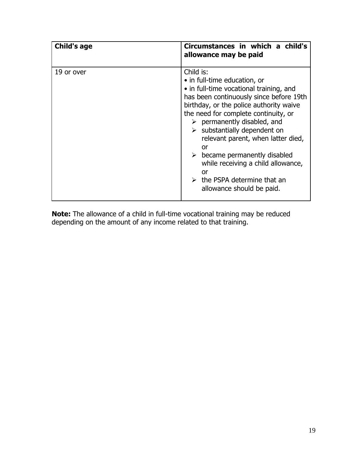| <b>Child's age</b> | Circumstances in which a child's<br>allowance may be paid                                                                                                                                                                                                                                                                                                                                                                                                                                                                           |
|--------------------|-------------------------------------------------------------------------------------------------------------------------------------------------------------------------------------------------------------------------------------------------------------------------------------------------------------------------------------------------------------------------------------------------------------------------------------------------------------------------------------------------------------------------------------|
| 19 or over         | Child is:<br>• in full-time education, or<br>• in full-time vocational training, and<br>has been continuously since before 19th<br>birthday, or the police authority waive<br>the need for complete continuity, or<br>$\triangleright$ permanently disabled, and<br>$\triangleright$ substantially dependent on<br>relevant parent, when latter died,<br>or<br>$\triangleright$ became permanently disabled<br>while receiving a child allowance,<br>or<br>$\triangleright$ the PSPA determine that an<br>allowance should be paid. |

**Note:** The allowance of a child in full-time vocational training may be reduced depending on the amount of any income related to that training.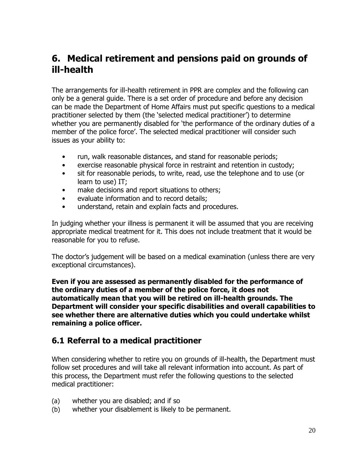## **6. Medical retirement and pensions paid on grounds of ill-health**

The arrangements for ill-health retirement in PPR are complex and the following can only be a general guide. There is a set order of procedure and before any decision can be made the Department of Home Affairs must put specific questions to a medical practitioner selected by them (the 'selected medical practitioner') to determine whether you are permanently disabled for 'the performance of the ordinary duties of a member of the police force'. The selected medical practitioner will consider such issues as your ability to:

- run, walk reasonable distances, and stand for reasonable periods;
- exercise reasonable physical force in restraint and retention in custody;
- sit for reasonable periods, to write, read, use the telephone and to use (or learn to use) IT;
- make decisions and report situations to others;
- evaluate information and to record details;
- understand, retain and explain facts and procedures.

In judging whether your illness is permanent it will be assumed that you are receiving appropriate medical treatment for it. This does not include treatment that it would be reasonable for you to refuse.

The doctor's judgement will be based on a medical examination (unless there are very exceptional circumstances).

**Even if you are assessed as permanently disabled for the performance of the ordinary duties of a member of the police force, it does not automatically mean that you will be retired on ill-health grounds. The Department will consider your specific disabilities and overall capabilities to see whether there are alternative duties which you could undertake whilst remaining a police officer.** 

### **6.1 Referral to a medical practitioner**

When considering whether to retire you on grounds of ill-health, the Department must follow set procedures and will take all relevant information into account. As part of this process, the Department must refer the following questions to the selected medical practitioner:

- (a) whether you are disabled; and if so
- (b) whether your disablement is likely to be permanent.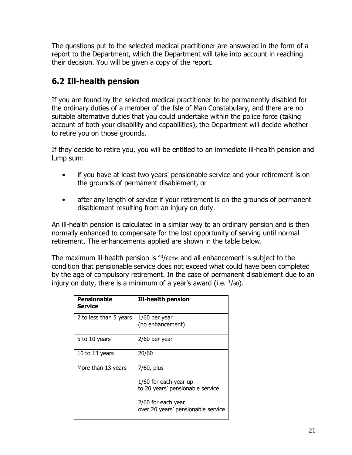The questions put to the selected medical practitioner are answered in the form of a report to the Department, which the Department will take into account in reaching their decision. You will be given a copy of the report.

### **6.2 Ill-health pension**

If you are found by the selected medical practitioner to be permanently disabled for the ordinary duties of a member of the Isle of Man Constabulary, and there are no suitable alternative duties that you could undertake within the police force (taking account of both your disability and capabilities), the Department will decide whether to retire you on those grounds.

If they decide to retire you, you will be entitled to an immediate ill-health pension and lump sum:

- if you have at least two years' pensionable service and your retirement is on the grounds of permanent disablement, or
- after any length of service if your retirement is on the grounds of permanent disablement resulting from an injury on duty.

An ill-health pension is calculated in a similar way to an ordinary pension and is then normally enhanced to compensate for the lost opportunity of serving until normal retirement. The enhancements applied are shown in the table below.

The maximum ill-health pension is  $40/60$ ths and all enhancement is subject to the condition that pensionable service does not exceed what could have been completed by the age of compulsory retirement. In the case of permanent disablement due to an injury on duty, there is a minimum of a year's award (i.e.  $\frac{1}{60}$ ).

| Pensionable<br>Service | <b>Ill-health pension</b>                                               |
|------------------------|-------------------------------------------------------------------------|
| 2 to less than 5 years | $1/60$ per year<br>(no enhancement)                                     |
| 5 to 10 years          | $2/60$ per year                                                         |
| 10 to 13 years         | 20/60                                                                   |
| More than 13 years     | 7/60, plus<br>1/60 for each year up<br>to 20 years' pensionable service |
|                        | 2/60 for each year<br>over 20 years' pensionable service                |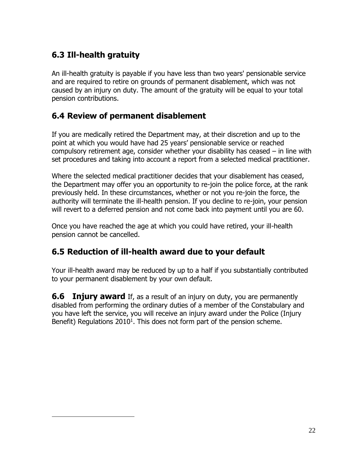## **6.3 Ill-health gratuity**

 $\overline{a}$ 

An ill-health gratuity is payable if you have less than two years' pensionable service and are required to retire on grounds of permanent disablement, which was not caused by an injury on duty. The amount of the gratuity will be equal to your total pension contributions.

### **6.4 Review of permanent disablement**

If you are medically retired the Department may, at their discretion and up to the point at which you would have had 25 years' pensionable service or reached compulsory retirement age, consider whether your disability has ceased – in line with set procedures and taking into account a report from a selected medical practitioner.

Where the selected medical practitioner decides that your disablement has ceased, the Department may offer you an opportunity to re-join the police force, at the rank previously held. In these circumstances, whether or not you re-join the force, the authority will terminate the ill-health pension. If you decline to re-join, your pension will revert to a deferred pension and not come back into payment until you are 60.

Once you have reached the age at which you could have retired, your ill-health pension cannot be cancelled.

### **6.5 Reduction of ill-health award due to your default**

Your ill-health award may be reduced by up to a half if you substantially contributed to your permanent disablement by your own default.

**6.6 Injury award** If, as a result of an injury on duty, you are permanently disabled from performing the ordinary duties of a member of the Constabulary and you have left the service, you will receive an injury award under the Police (Injury Benefit) Regulations 2010<sup>1</sup>. This does not form part of the pension scheme.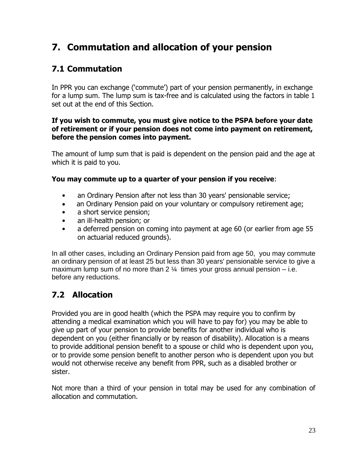## **7. Commutation and allocation of your pension**

### **7.1 Commutation**

In PPR you can exchange ('commute') part of your pension permanently, in exchange for a lump sum. The lump sum is tax-free and is calculated using the factors in table 1 set out at the end of this Section.

#### **If you wish to commute, you must give notice to the PSPA before your date of retirement or if your pension does not come into payment on retirement, before the pension comes into payment.**

The amount of lump sum that is paid is dependent on the pension paid and the age at which it is paid to you.

#### **You may commute up to a quarter of your pension if you receive**:

- an Ordinary Pension after not less than 30 years' pensionable service;
- an Ordinary Pension paid on your voluntary or compulsory retirement age;
- a short service pension:
- an ill-health pension; or
- a deferred pension on coming into payment at age 60 (or earlier from age 55 on actuarial reduced grounds).

In all other cases, including an Ordinary Pension paid from age 50, you may commute an ordinary pension of at least 25 but less than 30 years' pensionable service to give a maximum lump sum of no more than 2  $\frac{1}{4}$  times your gross annual pension – i.e. before any reductions.

## **7.2 Allocation**

Provided you are in good health (which the PSPA may require you to confirm by attending a medical examination which you will have to pay for) you may be able to give up part of your pension to provide benefits for another individual who is dependent on you (either financially or by reason of disability). Allocation is a means to provide additional pension benefit to a spouse or child who is dependent upon you, or to provide some pension benefit to another person who is dependent upon you but would not otherwise receive any benefit from PPR, such as a disabled brother or sister.

Not more than a third of your pension in total may be used for any combination of allocation and commutation.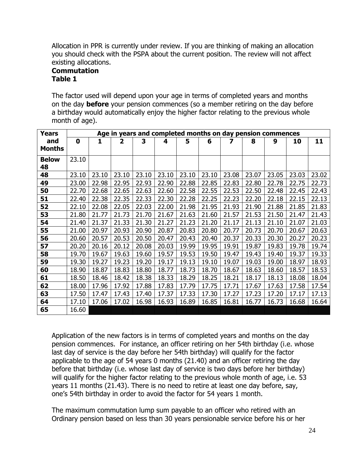Allocation in PPR is currently under review. If you are thinking of making an allocation you should check with the PSPA about the current position. The review will not affect existing allocations.

#### **Commutation Table 1**

The factor used will depend upon your age in terms of completed years and months on the day **before** your pension commences (so a member retiring on the day before a birthday would automatically enjoy the higher factor relating to the previous whole month of age).

| <b>Years</b>  |       | Age in years and completed months on day pension commences |                |       |       |       |       |       |       |       |       |       |
|---------------|-------|------------------------------------------------------------|----------------|-------|-------|-------|-------|-------|-------|-------|-------|-------|
| and           | 0     | 1                                                          | $\overline{2}$ | 3     | 4     | 5     | 6     | 7     | 8     | 9     | 10    | 11    |
| <b>Months</b> |       |                                                            |                |       |       |       |       |       |       |       |       |       |
| <b>Below</b>  | 23.10 |                                                            |                |       |       |       |       |       |       |       |       |       |
| 48            |       |                                                            |                |       |       |       |       |       |       |       |       |       |
| 48            | 23.10 | 23.10                                                      | 23.10          | 23.10 | 23.10 | 23.10 | 23.10 | 23.08 | 23.07 | 23.05 | 23.03 | 23.02 |
| 49            | 23.00 | 22.98                                                      | 22.95          | 22.93 | 22.90 | 22.88 | 22.85 | 22.83 | 22.80 | 22.78 | 22.75 | 22.73 |
| 50            | 22.70 | 22.68                                                      | 22.65          | 22.63 | 22.60 | 22.58 | 22.55 | 22.53 | 22.50 | 22.48 | 22.45 | 22.43 |
| 51            | 22.40 | 22.38                                                      | 22.35          | 22.33 | 22.30 | 22.28 | 22.25 | 22.23 | 22.20 | 22.18 | 22.15 | 22.13 |
| 52            | 22.10 | 22.08                                                      | 22.05          | 22.03 | 22.00 | 21.98 | 21.95 | 21.93 | 21.90 | 21.88 | 21.85 | 21.83 |
| 53            | 21.80 | 21.77                                                      | 21.73          | 21.70 | 21.67 | 21.63 | 21.60 | 21.57 | 21.53 | 21.50 | 21.47 | 21.43 |
| 54            | 21.40 | 21.37                                                      | 21.33          | 21.30 | 21.27 | 21.23 | 21.20 | 21.17 | 21.13 | 21.10 | 21.07 | 21.03 |
| 55            | 21.00 | 20.97                                                      | 20.93          | 20.90 | 20.87 | 20.83 | 20.80 | 20.77 | 20.73 | 20.70 | 20.67 | 20.63 |
| 56            | 20.60 | 20.57                                                      | 20.53          | 20.50 | 20.47 | 20.43 | 20.40 | 20.37 | 20.33 | 20.30 | 20.27 | 20.23 |
| 57            | 20.20 | 20.16                                                      | 20.12          | 20.08 | 20.03 | 19.99 | 19.95 | 19.91 | 19.87 | 19.83 | 19.78 | 19.74 |
| 58            | 19.70 | 19.67                                                      | 19.63          | 19.60 | 19.57 | 19.53 | 19.50 | 19.47 | 19.43 | 19.40 | 19.37 | 19.33 |
| 59            | 19.30 | 19.27                                                      | 19.23          | 19.20 | 19.17 | 19.13 | 19.10 | 19.07 | 19.03 | 19.00 | 18.97 | 18.93 |
| 60            | 18.90 | 18.87                                                      | 18.83          | 18.80 | 18.77 | 18.73 | 18.70 | 18.67 | 18.63 | 18.60 | 18.57 | 18.53 |
| 61            | 18.50 | 18.46                                                      | 18.42          | 18.38 | 18.33 | 18.29 | 18.25 | 18.21 | 18.17 | 18.13 | 18.08 | 18.04 |
| 62            | 18.00 | 17.96                                                      | 17.92          | 17.88 | 17.83 | 17.79 | 17.75 | 17.71 | 17.67 | 17.63 | 17.58 | 17.54 |
| 63            | 17.50 | 17.47                                                      | 17.43          | 17.40 | 17.37 | 17.33 | 17.30 | 17.27 | 17.23 | 17.20 | 17.17 | 17.13 |
| 64            | 17.10 | 17.06                                                      | 17.02          | 16.98 | 16.93 | 16.89 | 16.85 | 16.81 | 16.77 | 16.73 | 16.68 | 16.64 |
| 65            | 16.60 |                                                            |                |       |       |       |       |       |       |       |       |       |

Application of the new factors is in terms of completed years and months on the day pension commences. For instance, an officer retiring on her 54th birthday (i.e. whose last day of service is the day before her 54th birthday) will qualify for the factor applicable to the age of 54 years 0 months (21.40) and an officer retiring the day before that birthday (i.e. whose last day of service is two days before her birthday) will qualify for the higher factor relating to the previous whole month of age, i.e. 53 years 11 months (21.43). There is no need to retire at least one day before, say, one's 54th birthday in order to avoid the factor for 54 years 1 month.

The maximum commutation lump sum payable to an officer who retired with an Ordinary pension based on less than 30 years pensionable service before his or her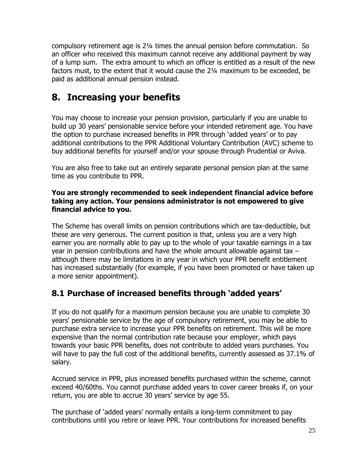compulsory retirement age is 2¼ times the annual pension before commutation. So an officer who received this maximum cannot receive any additional payment by way of a lump sum. The extra amount to which an officer is entitled as a result of the new factors must, to the extent that it would cause the 2¼ maximum to be exceeded, be paid as additional annual pension instead.

## **8. Increasing your benefits**

You may choose to increase your pension provision, particularly if you are unable to build up 30 years' pensionable service before your intended retirement age. You have the option to purchase increased benefits in PPR through 'added years' or to pay additional contributions to the PPR Additional Voluntary Contribution (AVC) scheme to buy additional benefits for yourself and/or your spouse through Prudential or Aviva.

You are also free to take out an entirely separate personal pension plan at the same time as you contribute to PPR.

#### **You are strongly recommended to seek independent financial advice before taking any action. Your pensions administrator is not empowered to give financial advice to you.**

The Scheme has overall limits on pension contributions which are tax-deductible, but these are very generous. The current position is that, unless you are a very high earner you are normally able to pay up to the whole of your taxable earnings in a tax year in pension contributions and have the whole amount allowable against tax – although there may be limitations in any year in which your PPR benefit entitlement has increased substantially (for example, if you have been promoted or have taken up a more senior appointment).

### **8.1 Purchase of increased benefits through 'added years'**

If you do not qualify for a maximum pension because you are unable to complete 30 years' pensionable service by the age of compulsory retirement, you may be able to purchase extra service to increase your PPR benefits on retirement. This will be more expensive than the normal contribution rate because your employer, which pays towards your basic PPR benefits, does not contribute to added years purchases. You will have to pay the full cost of the additional benefits, currently assessed as 37.1% of salary.

Accrued service in PPR, plus increased benefits purchased within the scheme, cannot exceed 40/60ths. You cannot purchase added years to cover career breaks if, on your return, you are able to accrue 30 years' service by age 55.

The purchase of 'added years' normally entails a long-term commitment to pay contributions until you retire or leave PPR. Your contributions for increased benefits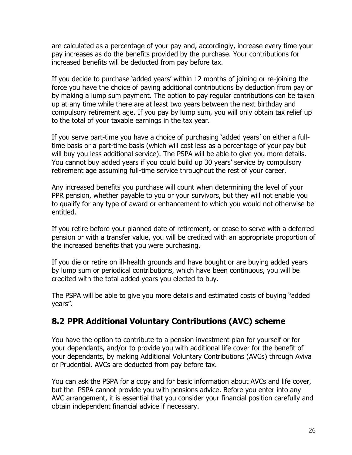are calculated as a percentage of your pay and, accordingly, increase every time your pay increases as do the benefits provided by the purchase. Your contributions for increased benefits will be deducted from pay before tax.

If you decide to purchase 'added years' within 12 months of joining or re-joining the force you have the choice of paying additional contributions by deduction from pay or by making a lump sum payment. The option to pay regular contributions can be taken up at any time while there are at least two years between the next birthday and compulsory retirement age. If you pay by lump sum, you will only obtain tax relief up to the total of your taxable earnings in the tax year.

If you serve part-time you have a choice of purchasing 'added years' on either a fulltime basis or a part-time basis (which will cost less as a percentage of your pay but will buy you less additional service). The PSPA will be able to give you more details. You cannot buy added years if you could build up 30 years' service by compulsory retirement age assuming full-time service throughout the rest of your career.

Any increased benefits you purchase will count when determining the level of your PPR pension, whether payable to you or your survivors, but they will not enable you to qualify for any type of award or enhancement to which you would not otherwise be entitled.

If you retire before your planned date of retirement, or cease to serve with a deferred pension or with a transfer value, you will be credited with an appropriate proportion of the increased benefits that you were purchasing.

If you die or retire on ill-health grounds and have bought or are buying added years by lump sum or periodical contributions, which have been continuous, you will be credited with the total added years you elected to buy.

The PSPA will be able to give you more details and estimated costs of buying "added years".

### **8.2 PPR Additional Voluntary Contributions (AVC) scheme**

You have the option to contribute to a pension investment plan for yourself or for your dependants, and/or to provide you with additional life cover for the benefit of your dependants, by making Additional Voluntary Contributions (AVCs) through Aviva or Prudential. AVCs are deducted from pay before tax.

You can ask the PSPA for a copy and for basic information about AVCs and life cover, but the PSPA cannot provide you with pensions advice. Before you enter into any AVC arrangement, it is essential that you consider your financial position carefully and obtain independent financial advice if necessary.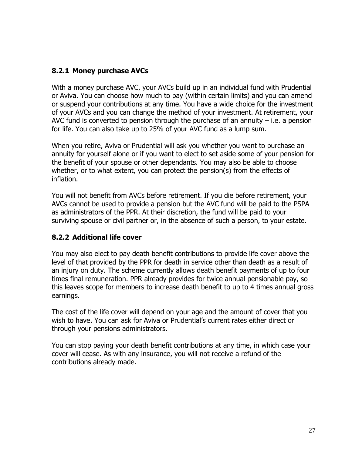#### **8.2.1 Money purchase AVCs**

With a money purchase AVC, your AVCs build up in an individual fund with Prudential or Aviva. You can choose how much to pay (within certain limits) and you can amend or suspend your contributions at any time. You have a wide choice for the investment of your AVCs and you can change the method of your investment. At retirement, your AVC fund is converted to pension through the purchase of an annuity  $-$  i.e. a pension for life. You can also take up to 25% of your AVC fund as a lump sum.

When you retire, Aviva or Prudential will ask you whether you want to purchase an annuity for yourself alone or if you want to elect to set aside some of your pension for the benefit of your spouse or other dependants. You may also be able to choose whether, or to what extent, you can protect the pension(s) from the effects of inflation.

You will not benefit from AVCs before retirement. If you die before retirement, your AVCs cannot be used to provide a pension but the AVC fund will be paid to the PSPA as administrators of the PPR. At their discretion, the fund will be paid to your surviving spouse or civil partner or, in the absence of such a person, to your estate.

#### **8.2.2 Additional life cover**

You may also elect to pay death benefit contributions to provide life cover above the level of that provided by the PPR for death in service other than death as a result of an injury on duty. The scheme currently allows death benefit payments of up to four times final remuneration. PPR already provides for twice annual pensionable pay, so this leaves scope for members to increase death benefit to up to 4 times annual gross earnings.

The cost of the life cover will depend on your age and the amount of cover that you wish to have. You can ask for Aviva or Prudential's current rates either direct or through your pensions administrators.

You can stop paying your death benefit contributions at any time, in which case your cover will cease. As with any insurance, you will not receive a refund of the contributions already made.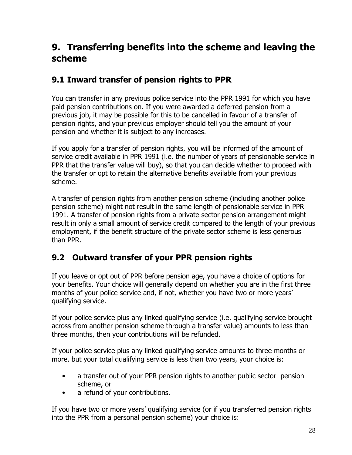## **9. Transferring benefits into the scheme and leaving the scheme**

### **9.1 Inward transfer of pension rights to PPR**

You can transfer in any previous police service into the PPR 1991 for which you have paid pension contributions on. If you were awarded a deferred pension from a previous job, it may be possible for this to be cancelled in favour of a transfer of pension rights, and your previous employer should tell you the amount of your pension and whether it is subject to any increases.

If you apply for a transfer of pension rights, you will be informed of the amount of service credit available in PPR 1991 (i.e. the number of years of pensionable service in PPR that the transfer value will buy), so that you can decide whether to proceed with the transfer or opt to retain the alternative benefits available from your previous scheme.

A transfer of pension rights from another pension scheme (including another police pension scheme) might not result in the same length of pensionable service in PPR 1991. A transfer of pension rights from a private sector pension arrangement might result in only a small amount of service credit compared to the length of your previous employment, if the benefit structure of the private sector scheme is less generous than PPR.

### **9.2 Outward transfer of your PPR pension rights**

If you leave or opt out of PPR before pension age, you have a choice of options for your benefits. Your choice will generally depend on whether you are in the first three months of your police service and, if not, whether you have two or more years' qualifying service.

If your police service plus any linked qualifying service (i.e. qualifying service brought across from another pension scheme through a transfer value) amounts to less than three months, then your contributions will be refunded.

If your police service plus any linked qualifying service amounts to three months or more, but your total qualifying service is less than two years, your choice is:

- a transfer out of your PPR pension rights to another public sector pension scheme, or
- a refund of your contributions.

If you have two or more years' qualifying service (or if you transferred pension rights into the PPR from a personal pension scheme) your choice is: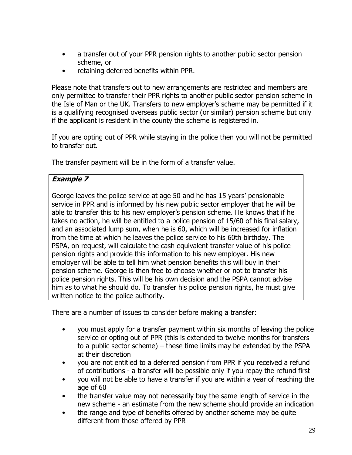- a transfer out of your PPR pension rights to another public sector pension scheme, or
- retaining deferred benefits within PPR.

Please note that transfers out to new arrangements are restricted and members are only permitted to transfer their PPR rights to another public sector pension scheme in the Isle of Man or the UK. Transfers to new employer's scheme may be permitted if it is a qualifying recognised overseas public sector (or similar) pension scheme but only if the applicant is resident in the county the scheme is registered in.

If you are opting out of PPR while staying in the police then you will not be permitted to transfer out.

The transfer payment will be in the form of a transfer value.

#### **Example 7**

George leaves the police service at age 50 and he has 15 years' pensionable service in PPR and is informed by his new public sector employer that he will be able to transfer this to his new employer's pension scheme. He knows that if he takes no action, he will be entitled to a police pension of 15/60 of his final salary, and an associated lump sum, when he is 60, which will be increased for inflation from the time at which he leaves the police service to his 60th birthday. The PSPA, on request, will calculate the cash equivalent transfer value of his police pension rights and provide this information to his new employer. His new employer will be able to tell him what pension benefits this will buy in their pension scheme. George is then free to choose whether or not to transfer his police pension rights. This will be his own decision and the PSPA cannot advise him as to what he should do. To transfer his police pension rights, he must give written notice to the police authority.

There are a number of issues to consider before making a transfer:

- you must apply for a transfer payment within six months of leaving the police service or opting out of PPR (this is extended to twelve months for transfers to a public sector scheme) – these time limits may be extended by the PSPA at their discretion
- you are not entitled to a deferred pension from PPR if you received a refund of contributions - a transfer will be possible only if you repay the refund first
- you will not be able to have a transfer if you are within a year of reaching the age of 60
- the transfer value may not necessarily buy the same length of service in the new scheme - an estimate from the new scheme should provide an indication
- the range and type of benefits offered by another scheme may be quite different from those offered by PPR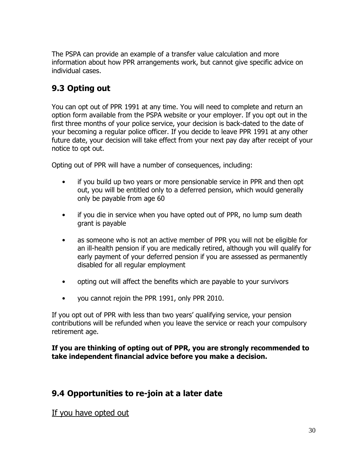The PSPA can provide an example of a transfer value calculation and more information about how PPR arrangements work, but cannot give specific advice on individual cases.

### **9.3 Opting out**

You can opt out of PPR 1991 at any time. You will need to complete and return an option form available from the PSPA website or your employer. If you opt out in the first three months of your police service, your decision is back-dated to the date of your becoming a regular police officer. If you decide to leave PPR 1991 at any other future date, your decision will take effect from your next pay day after receipt of your notice to opt out.

Opting out of PPR will have a number of consequences, including:

- if you build up two years or more pensionable service in PPR and then opt out, you will be entitled only to a deferred pension, which would generally only be payable from age 60
- if you die in service when you have opted out of PPR, no lump sum death grant is payable
- as someone who is not an active member of PPR you will not be eligible for an ill-health pension if you are medically retired, although you will qualify for early payment of your deferred pension if you are assessed as permanently disabled for all regular employment
- opting out will affect the benefits which are payable to your survivors
- you cannot rejoin the PPR 1991, only PPR 2010.

If you opt out of PPR with less than two years' qualifying service, your pension contributions will be refunded when you leave the service or reach your compulsory retirement age.

#### **If you are thinking of opting out of PPR, you are strongly recommended to take independent financial advice before you make a decision.**

### **9.4 Opportunities to re-join at a later date**

If you have opted out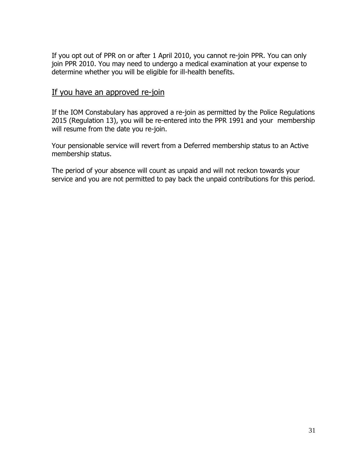If you opt out of PPR on or after 1 April 2010, you cannot re-join PPR. You can only join PPR 2010. You may need to undergo a medical examination at your expense to determine whether you will be eligible for ill-health benefits.

#### If you have an approved re-join

If the IOM Constabulary has approved a re-join as permitted by the Police Regulations 2015 (Regulation 13), you will be re-entered into the PPR 1991 and your membership will resume from the date you re-join.

Your pensionable service will revert from a Deferred membership status to an Active membership status.

The period of your absence will count as unpaid and will not reckon towards your service and you are not permitted to pay back the unpaid contributions for this period.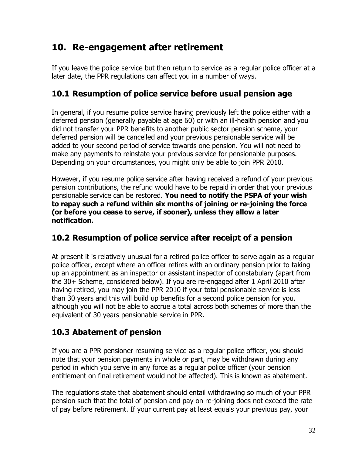## **10. Re-engagement after retirement**

If you leave the police service but then return to service as a regular police officer at a later date, the PPR regulations can affect you in a number of ways.

### **10.1 Resumption of police service before usual pension age**

In general, if you resume police service having previously left the police either with a deferred pension (generally payable at age 60) or with an ill-health pension and you did not transfer your PPR benefits to another public sector pension scheme, your deferred pension will be cancelled and your previous pensionable service will be added to your second period of service towards one pension. You will not need to make any payments to reinstate your previous service for pensionable purposes. Depending on your circumstances, you might only be able to join PPR 2010.

However, if you resume police service after having received a refund of your previous pension contributions, the refund would have to be repaid in order that your previous pensionable service can be restored. **You need to notify the PSPA of your wish to repay such a refund within six months of joining or re-joining the force (or before you cease to serve, if sooner), unless they allow a later notification.** 

### **10.2 Resumption of police service after receipt of a pension**

At present it is relatively unusual for a retired police officer to serve again as a regular police officer, except where an officer retires with an ordinary pension prior to taking up an appointment as an inspector or assistant inspector of constabulary (apart from the 30+ Scheme, considered below). If you are re-engaged after 1 April 2010 after having retired, you may join the PPR 2010 if your total pensionable service is less than 30 years and this will build up benefits for a second police pension for you, although you will not be able to accrue a total across both schemes of more than the equivalent of 30 years pensionable service in PPR.

### **10.3 Abatement of pension**

If you are a PPR pensioner resuming service as a regular police officer, you should note that your pension payments in whole or part, may be withdrawn during any period in which you serve in any force as a regular police officer (your pension entitlement on final retirement would not be affected). This is known as abatement.

The regulations state that abatement should entail withdrawing so much of your PPR pension such that the total of pension and pay on re-joining does not exceed the rate of pay before retirement. If your current pay at least equals your previous pay, your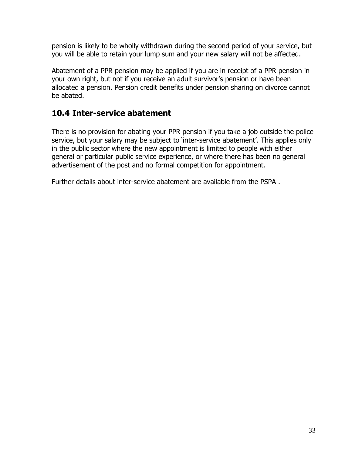pension is likely to be wholly withdrawn during the second period of your service, but you will be able to retain your lump sum and your new salary will not be affected.

Abatement of a PPR pension may be applied if you are in receipt of a PPR pension in your own right, but not if you receive an adult survivor's pension or have been allocated a pension. Pension credit benefits under pension sharing on divorce cannot be abated.

### **10.4 Inter-service abatement**

There is no provision for abating your PPR pension if you take a job outside the police service, but your salary may be subject to 'inter-service abatement'. This applies only in the public sector where the new appointment is limited to people with either general or particular public service experience, or where there has been no general advertisement of the post and no formal competition for appointment.

Further details about inter-service abatement are available from the PSPA .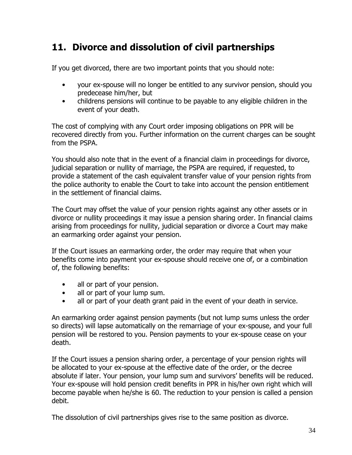## **11. Divorce and dissolution of civil partnerships**

If you get divorced, there are two important points that you should note:

- your ex-spouse will no longer be entitled to any survivor pension, should you predecease him/her, but
- childrens pensions will continue to be payable to any eligible children in the event of your death.

The cost of complying with any Court order imposing obligations on PPR will be recovered directly from you. Further information on the current charges can be sought from the PSPA.

You should also note that in the event of a financial claim in proceedings for divorce, judicial separation or nullity of marriage, the PSPA are required, if requested, to provide a statement of the cash equivalent transfer value of your pension rights from the police authority to enable the Court to take into account the pension entitlement in the settlement of financial claims.

The Court may offset the value of your pension rights against any other assets or in divorce or nullity proceedings it may issue a pension sharing order. In financial claims arising from proceedings for nullity, judicial separation or divorce a Court may make an earmarking order against your pension.

If the Court issues an earmarking order, the order may require that when your benefits come into payment your ex-spouse should receive one of, or a combination of, the following benefits:

- all or part of your pension.
- all or part of your lump sum.
- all or part of your death grant paid in the event of your death in service.

An earmarking order against pension payments (but not lump sums unless the order so directs) will lapse automatically on the remarriage of your ex-spouse, and your full pension will be restored to you. Pension payments to your ex-spouse cease on your death.

If the Court issues a pension sharing order, a percentage of your pension rights will be allocated to your ex-spouse at the effective date of the order, or the decree absolute if later. Your pension, your lump sum and survivors' benefits will be reduced. Your ex-spouse will hold pension credit benefits in PPR in his/her own right which will become payable when he/she is 60. The reduction to your pension is called a pension debit.

The dissolution of civil partnerships gives rise to the same position as divorce.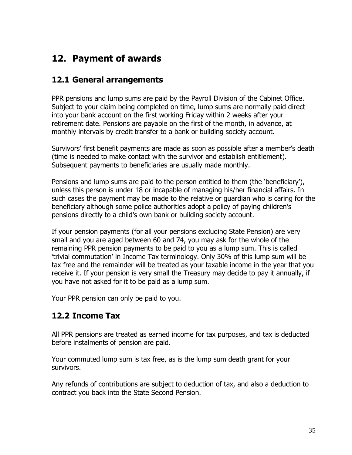## **12. Payment of awards**

### **12.1 General arrangements**

PPR pensions and lump sums are paid by the Payroll Division of the Cabinet Office. Subject to your claim being completed on time, lump sums are normally paid direct into your bank account on the first working Friday within 2 weeks after your retirement date. Pensions are payable on the first of the month, in advance, at monthly intervals by credit transfer to a bank or building society account.

Survivors' first benefit payments are made as soon as possible after a member's death (time is needed to make contact with the survivor and establish entitlement). Subsequent payments to beneficiaries are usually made monthly.

Pensions and lump sums are paid to the person entitled to them (the 'beneficiary'), unless this person is under 18 or incapable of managing his/her financial affairs. In such cases the payment may be made to the relative or guardian who is caring for the beneficiary although some police authorities adopt a policy of paying children's pensions directly to a child's own bank or building society account.

If your pension payments (for all your pensions excluding State Pension) are very small and you are aged between 60 and 74, you may ask for the whole of the remaining PPR pension payments to be paid to you as a lump sum. This is called 'trivial commutation' in Income Tax terminology. Only 30% of this lump sum will be tax free and the remainder will be treated as your taxable income in the year that you receive it. If your pension is very small the Treasury may decide to pay it annually, if you have not asked for it to be paid as a lump sum.

Your PPR pension can only be paid to you.

### **12.2 Income Tax**

All PPR pensions are treated as earned income for tax purposes, and tax is deducted before instalments of pension are paid.

Your commuted lump sum is tax free, as is the lump sum death grant for your survivors.

Any refunds of contributions are subject to deduction of tax, and also a deduction to contract you back into the State Second Pension.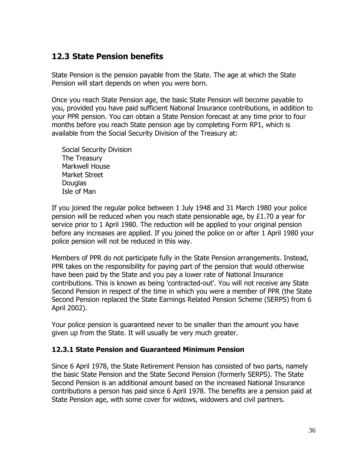### **12.3 State Pension benefits**

State Pension is the pension payable from the State. The age at which the State Pension will start depends on when you were born.

Once you reach State Pension age, the basic State Pension will become payable to you, provided you have paid sufficient National Insurance contributions, in addition to your PPR pension. You can obtain a State Pension forecast at any time prior to four months before you reach State pension age by completing Form RP1, which is available from the Social Security Division of the Treasury at:

Social Security Division The Treasury Markwell House Market Street **Douglas** Isle of Man

If you joined the regular police between 1 July 1948 and 31 March 1980 your police pension will be reduced when you reach state pensionable age, by £1.70 a year for service prior to 1 April 1980. The reduction will be applied to your original pension before any increases are applied. If you joined the police on or after 1 April 1980 your police pension will not be reduced in this way.

Members of PPR do not participate fully in the State Pension arrangements. Instead, PPR takes on the responsibility for paying part of the pension that would otherwise have been paid by the State and you pay a lower rate of National Insurance contributions. This is known as being 'contracted-out'. You will not receive any State Second Pension in respect of the time in which you were a member of PPR (the State Second Pension replaced the State Earnings Related Pension Scheme (SERPS) from 6 April 2002).

Your police pension is guaranteed never to be smaller than the amount you have given up from the State. It will usually be very much greater.

#### **12.3.1 State Pension and Guaranteed Minimum Pension**

Since 6 April 1978, the State Retirement Pension has consisted of two parts, namely the basic State Pension and the State Second Pension (formerly SERPS). The State Second Pension is an additional amount based on the increased National Insurance contributions a person has paid since 6 April 1978. The benefits are a pension paid at State Pension age, with some cover for widows, widowers and civil partners.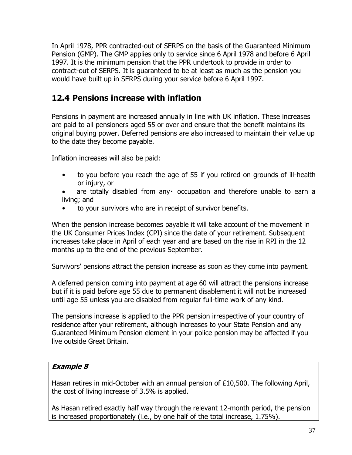In April 1978, PPR contracted-out of SERPS on the basis of the Guaranteed Minimum Pension (GMP). The GMP applies only to service since 6 April 1978 and before 6 April 1997. It is the minimum pension that the PPR undertook to provide in order to contract-out of SERPS. It is guaranteed to be at least as much as the pension you would have built up in SERPS during your service before 6 April 1997.

### **12.4 Pensions increase with inflation**

Pensions in payment are increased annually in line with UK inflation. These increases are paid to all pensioners aged 55 or over and ensure that the benefit maintains its original buying power. Deferred pensions are also increased to maintain their value up to the date they become payable.

Inflation increases will also be paid:

- to you before you reach the age of 55 if you retired on grounds of ill-health or injury, or
- are totally disabled from any occupation and therefore unable to earn a living; and
- to your survivors who are in receipt of survivor benefits.

When the pension increase becomes payable it will take account of the movement in the UK Consumer Prices Index (CPI) since the date of your retirement. Subsequent increases take place in April of each year and are based on the rise in RPI in the 12 months up to the end of the previous September.

Survivors' pensions attract the pension increase as soon as they come into payment.

A deferred pension coming into payment at age 60 will attract the pensions increase but if it is paid before age 55 due to permanent disablement it will not be increased until age 55 unless you are disabled from regular full-time work of any kind.

The pensions increase is applied to the PPR pension irrespective of your country of residence after your retirement, although increases to your State Pension and any Guaranteed Minimum Pension element in your police pension may be affected if you live outside Great Britain.

#### **Example 8**

Hasan retires in mid-October with an annual pension of £10,500. The following April, the cost of living increase of 3.5% is applied.

As Hasan retired exactly half way through the relevant 12-month period, the pension is increased proportionately (i.e., by one half of the total increase, 1.75%).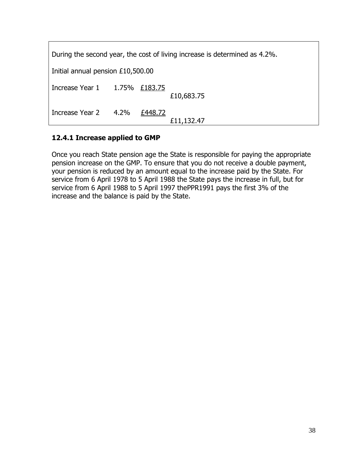| During the second year, the cost of living increase is determined as 4.2%. |  |         |            |
|----------------------------------------------------------------------------|--|---------|------------|
| Initial annual pension £10,500.00                                          |  |         |            |
| Increase Year 1 1.75% £183.75                                              |  |         | £10,683.75 |
| Increase Year 2 4.2%                                                       |  | £448.72 | £11,132.47 |

#### **12.4.1 Increase applied to GMP**

Once you reach State pension age the State is responsible for paying the appropriate pension increase on the GMP. To ensure that you do not receive a double payment, your pension is reduced by an amount equal to the increase paid by the State. For service from 6 April 1978 to 5 April 1988 the State pays the increase in full, but for service from 6 April 1988 to 5 April 1997 thePPR1991 pays the first 3% of the increase and the balance is paid by the State.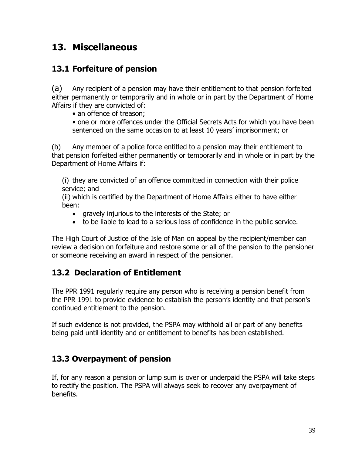## **13. Miscellaneous**

### **13.1 Forfeiture of pension**

(a) Any recipient of a pension may have their entitlement to that pension forfeited either permanently or temporarily and in whole or in part by the Department of Home Affairs if they are convicted of:

• an offence of treason;

• one or more offences under the Official Secrets Acts for which you have been sentenced on the same occasion to at least 10 years' imprisonment; or

(b) Any member of a police force entitled to a pension may their entitlement to that pension forfeited either permanently or temporarily and in whole or in part by the Department of Home Affairs if:

(i) they are convicted of an offence committed in connection with their police service; and

(ii) which is certified by the Department of Home Affairs either to have either been:

- gravely injurious to the interests of the State; or
- to be liable to lead to a serious loss of confidence in the public service.

The High Court of Justice of the Isle of Man on appeal by the recipient/member can review a decision on forfeiture and restore some or all of the pension to the pensioner or someone receiving an award in respect of the pensioner.

### **13.2 Declaration of Entitlement**

The PPR 1991 regularly require any person who is receiving a pension benefit from the PPR 1991 to provide evidence to establish the person's identity and that person's continued entitlement to the pension.

If such evidence is not provided, the PSPA may withhold all or part of any benefits being paid until identity and or entitlement to benefits has been established.

### **13.3 Overpayment of pension**

If, for any reason a pension or lump sum is over or underpaid the PSPA will take steps to rectify the position. The PSPA will always seek to recover any overpayment of benefits.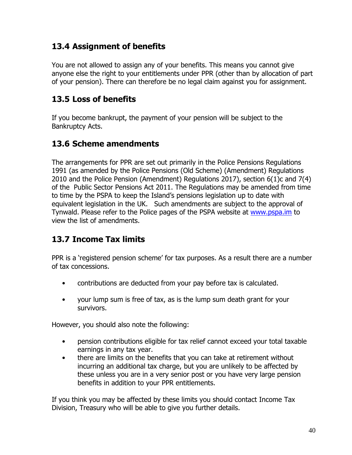### **13.4 Assignment of benefits**

You are not allowed to assign any of your benefits. This means you cannot give anyone else the right to your entitlements under PPR (other than by allocation of part of your pension). There can therefore be no legal claim against you for assignment.

### **13.5 Loss of benefits**

If you become bankrupt, the payment of your pension will be subject to the Bankruptcy Acts.

### **13.6 Scheme amendments**

The arrangements for PPR are set out primarily in the Police Pensions Regulations 1991 (as amended by the Police Pensions (Old Scheme) (Amendment) Regulations 2010 and the Police Pension (Amendment) Regulations 2017), section 6(1)c and 7(4) of the Public Sector Pensions Act 2011. The Regulations may be amended from time to time by the PSPA to keep the Island's pensions legislation up to date with equivalent legislation in the UK. Such amendments are subject to the approval of Tynwald. Please refer to the Police pages of the PSPA website at [www.pspa.im](http://www.pspa.im/) to view the list of amendments.

### **13.7 Income Tax limits**

PPR is a 'registered pension scheme' for tax purposes. As a result there are a number of tax concessions.

- contributions are deducted from your pay before tax is calculated.
- your lump sum is free of tax, as is the lump sum death grant for your survivors.

However, you should also note the following:

- pension contributions eligible for tax relief cannot exceed your total taxable earnings in any tax year.
- there are limits on the benefits that you can take at retirement without incurring an additional tax charge, but you are unlikely to be affected by these unless you are in a very senior post or you have very large pension benefits in addition to your PPR entitlements.

If you think you may be affected by these limits you should contact Income Tax Division, Treasury who will be able to give you further details.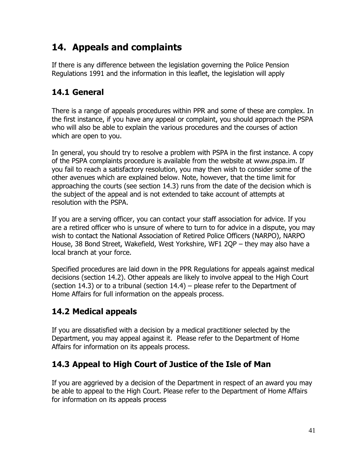## **14. Appeals and complaints**

If there is any difference between the legislation governing the Police Pension Regulations 1991 and the information in this leaflet, the legislation will apply

## **14.1 General**

There is a range of appeals procedures within PPR and some of these are complex. In the first instance, if you have any appeal or complaint, you should approach the PSPA who will also be able to explain the various procedures and the courses of action which are open to you.

In general, you should try to resolve a problem with PSPA in the first instance. A copy of the PSPA complaints procedure is available from the website at www.pspa.im. If you fail to reach a satisfactory resolution, you may then wish to consider some of the other avenues which are explained below. Note, however, that the time limit for approaching the courts (see section 14.3) runs from the date of the decision which is the subject of the appeal and is not extended to take account of attempts at resolution with the PSPA.

If you are a serving officer, you can contact your staff association for advice. If you are a retired officer who is unsure of where to turn to for advice in a dispute, you may wish to contact the National Association of Retired Police Officers (NARPO), NARPO House, 38 Bond Street, Wakefield, West Yorkshire, WF1 2QP – they may also have a local branch at your force.

Specified procedures are laid down in the PPR Regulations for appeals against medical decisions (section 14.2). Other appeals are likely to involve appeal to the High Court (section 14.3) or to a tribunal (section 14.4) – please refer to the Department of Home Affairs for full information on the appeals process.

## **14.2 Medical appeals**

If you are dissatisfied with a decision by a medical practitioner selected by the Department, you may appeal against it. Please refer to the Department of Home Affairs for information on its appeals process.

### **14.3 Appeal to High Court of Justice of the Isle of Man**

If you are aggrieved by a decision of the Department in respect of an award you may be able to appeal to the High Court. Please refer to the Department of Home Affairs for information on its appeals process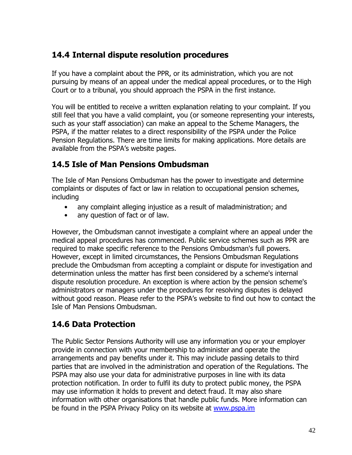### **14.4 Internal dispute resolution procedures**

If you have a complaint about the PPR, or its administration, which you are not pursuing by means of an appeal under the medical appeal procedures, or to the High Court or to a tribunal, you should approach the PSPA in the first instance.

You will be entitled to receive a written explanation relating to your complaint. If you still feel that you have a valid complaint, you (or someone representing your interests, such as your staff association) can make an appeal to the Scheme Managers, the PSPA, if the matter relates to a direct responsibility of the PSPA under the Police Pension Regulations. There are time limits for making applications. More details are available from the PSPA's website pages.

### **14.5 Isle of Man Pensions Ombudsman**

The Isle of Man Pensions Ombudsman has the power to investigate and determine complaints or disputes of fact or law in relation to occupational pension schemes, including

- any complaint alleging injustice as a result of maladministration; and
- any question of fact or of law.

However, the Ombudsman cannot investigate a complaint where an appeal under the medical appeal procedures has commenced. Public service schemes such as PPR are required to make specific reference to the Pensions Ombudsman's full powers. However, except in limited circumstances, the Pensions Ombudsman Regulations preclude the Ombudsman from accepting a complaint or dispute for investigation and determination unless the matter has first been considered by a scheme's internal dispute resolution procedure. An exception is where action by the pension scheme's administrators or managers under the procedures for resolving disputes is delayed without good reason. Please refer to the PSPA's website to find out how to contact the Isle of Man Pensions Ombudsman.

### **14.6 Data Protection**

The Public Sector Pensions Authority will use any information you or your employer provide in connection with your membership to administer and operate the arrangements and pay benefits under it. This may include passing details to third parties that are involved in the administration and operation of the Regulations. The PSPA may also use your data for administrative purposes in line with its data protection notification. In order to fulfil its duty to protect public money, the PSPA may use information it holds to prevent and detect fraud. It may also share information with other organisations that handle public funds. More information can be found in the PSPA Privacy Policy on its website at [www.pspa.im](http://www.pspa.im/)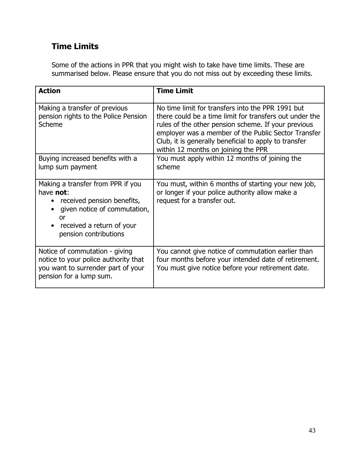### **Time Limits**

Some of the actions in PPR that you might wish to take have time limits. These are summarised below. Please ensure that you do not miss out by exceeding these limits.

| <b>Action</b>                                                                                                                                                            | <b>Time Limit</b>                                                                                                                                                                                                                                                                                                          |
|--------------------------------------------------------------------------------------------------------------------------------------------------------------------------|----------------------------------------------------------------------------------------------------------------------------------------------------------------------------------------------------------------------------------------------------------------------------------------------------------------------------|
| Making a transfer of previous<br>pension rights to the Police Pension<br>Scheme                                                                                          | No time limit for transfers into the PPR 1991 but<br>there could be a time limit for transfers out under the<br>rules of the other pension scheme. If your previous<br>employer was a member of the Public Sector Transfer<br>Club, it is generally beneficial to apply to transfer<br>within 12 months on joining the PPR |
| Buying increased benefits with a<br>lump sum payment                                                                                                                     | You must apply within 12 months of joining the<br>scheme                                                                                                                                                                                                                                                                   |
| Making a transfer from PPR if you<br>have not:<br>received pension benefits,<br>given notice of commutation,<br>or<br>received a return of your<br>pension contributions | You must, within 6 months of starting your new job,<br>or longer if your police authority allow make a<br>request for a transfer out.                                                                                                                                                                                      |
| Notice of commutation - giving<br>notice to your police authority that<br>you want to surrender part of your<br>pension for a lump sum.                                  | You cannot give notice of commutation earlier than<br>four months before your intended date of retirement.<br>You must give notice before your retirement date.                                                                                                                                                            |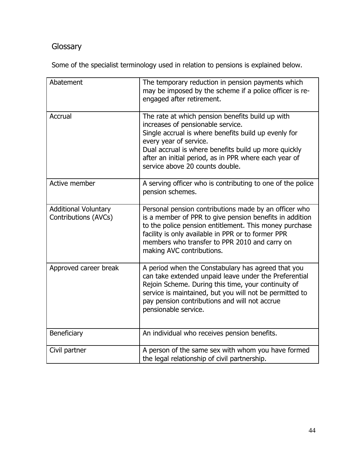## Glossary

Some of the specialist terminology used in relation to pensions is explained below.

| Abatement                                           | The temporary reduction in pension payments which<br>may be imposed by the scheme if a police officer is re-<br>engaged after retirement.                                                                                                                                                                                   |
|-----------------------------------------------------|-----------------------------------------------------------------------------------------------------------------------------------------------------------------------------------------------------------------------------------------------------------------------------------------------------------------------------|
| Accrual                                             | The rate at which pension benefits build up with<br>increases of pensionable service.<br>Single accrual is where benefits build up evenly for<br>every year of service.<br>Dual accrual is where benefits build up more quickly<br>after an initial period, as in PPR where each year of<br>service above 20 counts double. |
| Active member                                       | A serving officer who is contributing to one of the police<br>pension schemes.                                                                                                                                                                                                                                              |
| <b>Additional Voluntary</b><br>Contributions (AVCs) | Personal pension contributions made by an officer who<br>is a member of PPR to give pension benefits in addition<br>to the police pension entitlement. This money purchase<br>facility is only available in PPR or to former PPR<br>members who transfer to PPR 2010 and carry on<br>making AVC contributions.              |
| Approved career break                               | A period when the Constabulary has agreed that you<br>can take extended unpaid leave under the Preferential<br>Rejoin Scheme. During this time, your continuity of<br>service is maintained, but you will not be permitted to<br>pay pension contributions and will not accrue<br>pensionable service.                      |
| Beneficiary                                         | An individual who receives pension benefits.                                                                                                                                                                                                                                                                                |
| Civil partner                                       | A person of the same sex with whom you have formed<br>the legal relationship of civil partnership.                                                                                                                                                                                                                          |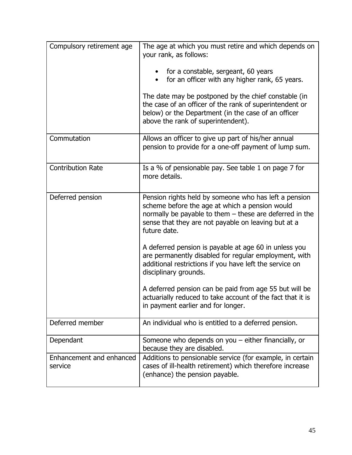| Compulsory retirement age           | The age at which you must retire and which depends on<br>your rank, as follows:<br>for a constable, sergeant, 60 years<br>for an officer with any higher rank, 65 years.<br>$\bullet$<br>The date may be postponed by the chief constable (in<br>the case of an officer of the rank of superintendent or<br>below) or the Department (in the case of an officer<br>above the rank of superintendent). |
|-------------------------------------|-------------------------------------------------------------------------------------------------------------------------------------------------------------------------------------------------------------------------------------------------------------------------------------------------------------------------------------------------------------------------------------------------------|
| Commutation                         | Allows an officer to give up part of his/her annual<br>pension to provide for a one-off payment of lump sum.                                                                                                                                                                                                                                                                                          |
| <b>Contribution Rate</b>            | Is a % of pensionable pay. See table 1 on page 7 for<br>more details.                                                                                                                                                                                                                                                                                                                                 |
| Deferred pension                    | Pension rights held by someone who has left a pension<br>scheme before the age at which a pension would<br>normally be payable to them - these are deferred in the<br>sense that they are not payable on leaving but at a<br>future date.                                                                                                                                                             |
|                                     | A deferred pension is payable at age 60 in unless you<br>are permanently disabled for regular employment, with<br>additional restrictions if you have left the service on<br>disciplinary grounds.                                                                                                                                                                                                    |
|                                     | A deferred pension can be paid from age 55 but will be<br>actuarially reduced to take account of the fact that it is<br>in payment earlier and for longer.                                                                                                                                                                                                                                            |
| Deferred member                     | An individual who is entitled to a deferred pension.                                                                                                                                                                                                                                                                                                                                                  |
| Dependant                           | Someone who depends on you $-$ either financially, or<br>because they are disabled.                                                                                                                                                                                                                                                                                                                   |
| Enhancement and enhanced<br>service | Additions to pensionable service (for example, in certain<br>cases of ill-health retirement) which therefore increase<br>(enhance) the pension payable.                                                                                                                                                                                                                                               |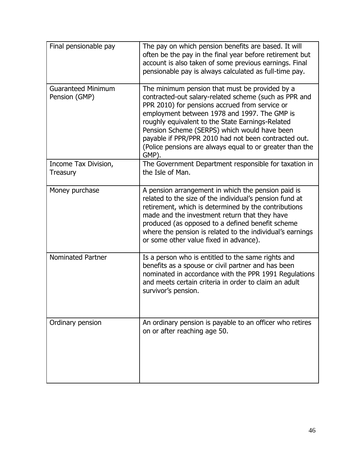| Final pensionable pay                      | The pay on which pension benefits are based. It will<br>often be the pay in the final year before retirement but<br>account is also taken of some previous earnings. Final<br>pensionable pay is always calculated as full-time pay.                                                                                                                                                                                                       |
|--------------------------------------------|--------------------------------------------------------------------------------------------------------------------------------------------------------------------------------------------------------------------------------------------------------------------------------------------------------------------------------------------------------------------------------------------------------------------------------------------|
| <b>Guaranteed Minimum</b><br>Pension (GMP) | The minimum pension that must be provided by a<br>contracted-out salary-related scheme (such as PPR and<br>PPR 2010) for pensions accrued from service or<br>employment between 1978 and 1997. The GMP is<br>roughly equivalent to the State Earnings-Related<br>Pension Scheme (SERPS) which would have been<br>payable if PPR/PPR 2010 had not been contracted out.<br>(Police pensions are always equal to or greater than the<br>GMP). |
| Income Tax Division,<br>Treasury           | The Government Department responsible for taxation in<br>the Isle of Man.                                                                                                                                                                                                                                                                                                                                                                  |
| Money purchase                             | A pension arrangement in which the pension paid is<br>related to the size of the individual's pension fund at<br>retirement, which is determined by the contributions<br>made and the investment return that they have<br>produced (as opposed to a defined benefit scheme<br>where the pension is related to the individual's earnings<br>or some other value fixed in advance).                                                          |
| <b>Nominated Partner</b>                   | Is a person who is entitled to the same rights and<br>benefits as a spouse or civil partner and has been<br>nominated in accordance with the PPR 1991 Regulations<br>and meets certain criteria in order to claim an adult<br>survivor's pension.                                                                                                                                                                                          |
| Ordinary pension                           | An ordinary pension is payable to an officer who retires<br>on or after reaching age 50.                                                                                                                                                                                                                                                                                                                                                   |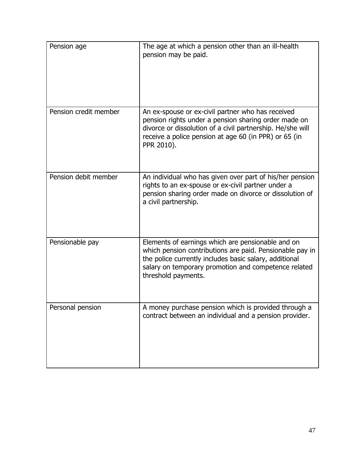| Pension age           | The age at which a pension other than an ill-health<br>pension may be paid.                                                                                                                                                                            |
|-----------------------|--------------------------------------------------------------------------------------------------------------------------------------------------------------------------------------------------------------------------------------------------------|
| Pension credit member | An ex-spouse or ex-civil partner who has received<br>pension rights under a pension sharing order made on<br>divorce or dissolution of a civil partnership. He/she will<br>receive a police pension at age 60 (in PPR) or 65 (in<br>PPR 2010).         |
| Pension debit member  | An individual who has given over part of his/her pension<br>rights to an ex-spouse or ex-civil partner under a<br>pension sharing order made on divorce or dissolution of<br>a civil partnership.                                                      |
| Pensionable pay       | Elements of earnings which are pensionable and on<br>which pension contributions are paid. Pensionable pay in<br>the police currently includes basic salary, additional<br>salary on temporary promotion and competence related<br>threshold payments. |
| Personal pension      | A money purchase pension which is provided through a<br>contract between an individual and a pension provider.                                                                                                                                         |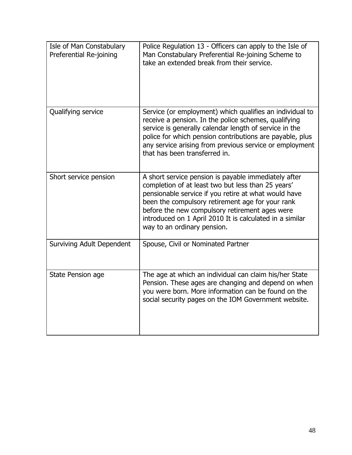| Isle of Man Constabulary<br>Preferential Re-joining | Police Regulation 13 - Officers can apply to the Isle of<br>Man Constabulary Preferential Re-joining Scheme to<br>take an extended break from their service.                                                                                                                                                                                                        |
|-----------------------------------------------------|---------------------------------------------------------------------------------------------------------------------------------------------------------------------------------------------------------------------------------------------------------------------------------------------------------------------------------------------------------------------|
| Qualifying service                                  | Service (or employment) which qualifies an individual to<br>receive a pension. In the police schemes, qualifying<br>service is generally calendar length of service in the<br>police for which pension contributions are payable, plus<br>any service arising from previous service or employment<br>that has been transferred in.                                  |
| Short service pension                               | A short service pension is payable immediately after<br>completion of at least two but less than 25 years'<br>pensionable service if you retire at what would have<br>been the compulsory retirement age for your rank<br>before the new compulsory retirement ages were<br>introduced on 1 April 2010 It is calculated in a similar<br>way to an ordinary pension. |
| <b>Surviving Adult Dependent</b>                    | Spouse, Civil or Nominated Partner                                                                                                                                                                                                                                                                                                                                  |
| State Pension age                                   | The age at which an individual can claim his/her State<br>Pension. These ages are changing and depend on when<br>you were born. More information can be found on the<br>social security pages on the IOM Government website.                                                                                                                                        |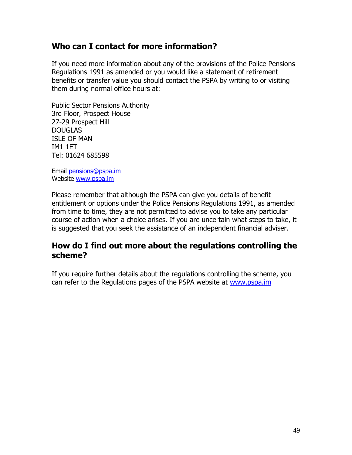### **Who can I contact for more information?**

If you need more information about any of the provisions of the Police Pensions Regulations 1991 as amended or you would like a statement of retirement benefits or transfer value you should contact the PSPA by writing to or visiting them during normal office hours at:

Public Sector Pensions Authority 3rd Floor, Prospect House 27-29 Prospect Hill DOUGLAS ISLE OF MAN IM1 1ET Tel: 01624 685598

Email pensions@pspa.im Website [www.pspa.im](http://www.pspa.im/) 

Please remember that although the PSPA can give you details of benefit entitlement or options under the Police Pensions Regulations 1991, as amended from time to time, they are not permitted to advise you to take any particular course of action when a choice arises. If you are uncertain what steps to take, it is suggested that you seek the assistance of an independent financial adviser.

#### **How do I find out more about the regulations controlling the scheme?**

If you require further details about the regulations controlling the scheme, you can refer to the Regulations pages of the PSPA website at [www.pspa.im](http://www.pspa.im/)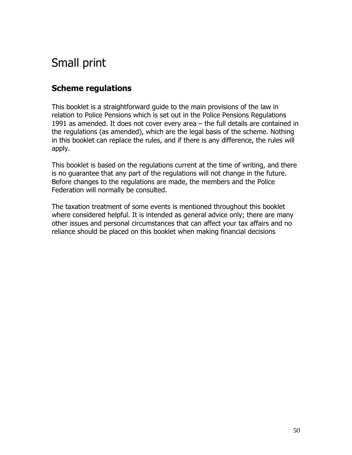# Small print

### **Scheme regulations**

This booklet is a straightforward guide to the main provisions of the law in relation to Police Pensions which is set out in the Police Pensions Regulations 1991 as amended. It does not cover every area – the full details are contained in the regulations (as amended), which are the legal basis of the scheme. Nothing in this booklet can replace the rules, and if there is any difference, the rules will apply.

This booklet is based on the regulations current at the time of writing, and there is no guarantee that any part of the regulations will not change in the future. Before changes to the regulations are made, the members and the Police Federation will normally be consulted.

The taxation treatment of some events is mentioned throughout this booklet where considered helpful. It is intended as general advice only; there are many other issues and personal circumstances that can affect your tax affairs and no reliance should be placed on this booklet when making financial decisions